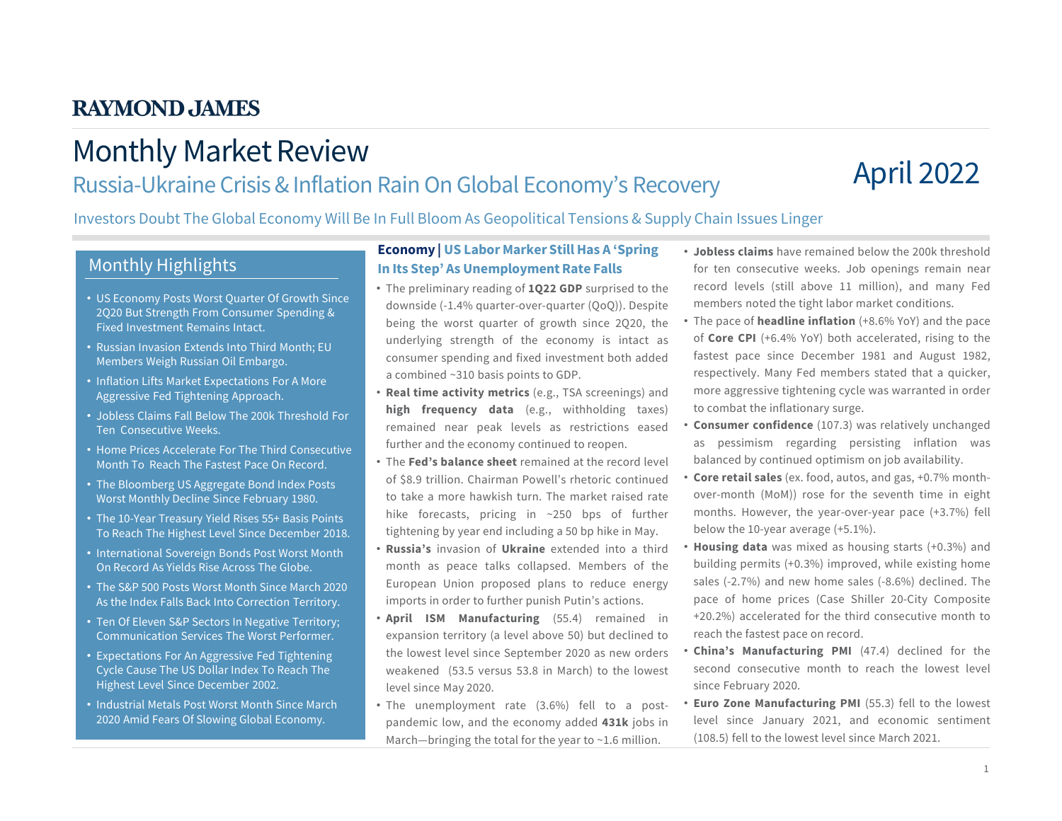# Monthly Market Review

### Russia-Ukraine Crisis & Inflation Rain On Global Economy's Recovery

# April 2022

Investors Doubt The Global Economy Will Be In Full Bloom As Geopolitical Tensions & Supply Chain Issues Linger

### Monthly Highlights

- US Economy Posts Worst Quarter Of Growth Since 2Q20 But Strength From Consumer Spending & Fixed Investment Remains Intact.
- Russian Invasion Extends Into Third Month; EU Members Weigh Russian Oil Embargo.
- Inflation Lifts Market Expectations For A More Aggressive Fed Tightening Approach.
- Jobless Claims Fall Below The 200k Threshold For Ten Consecutive Weeks.
- Home Prices Accelerate For The Third Consecutive Month To Reach The Fastest Pace On Record.
- The Bloomberg US Aggregate Bond Index Posts Worst Monthly Decline Since February 1980.
- The 10-Year Treasury Yield Rises 55+ Basis Points To Reach The Highest Level Since December 2018.
- International Sovereign Bonds Post Worst Month On Record As Yields Rise Across The Globe.
- The S&P 500 Posts Worst Month Since March 2020 As the Index Falls Back Into Correction Territory.
- Ten Of Eleven S&P Sectors In Negative Territory; Communication Services The Worst Performer.
- Expectations For An Aggressive Fed Tightening Cycle Cause The US Dollar Index To Reach The Highest Level Since December 2002.
- Industrial Metals Post Worst Month Since March 2020 Amid Fears Of Slowing Global Economy.

#### **Economy | US Labor Marker Still Has A 'Spring In Its Step' As Unemployment Rate Falls**

- The preliminary reading of **1Q22 GDP** surprised to the downside (-1.4% quarter-over-quarter (QoQ)). Despite being the worst quarter of growth since 2Q20, the underlying strength of the economy is intact as consumer spending and fixed investment both added a combined ~310 basis points to GDP.
- **Real time activity metrics** (e.g., TSA screenings) and **high frequency data** (e.g., withholding taxes) remained near peak levels as restrictions eased further and the economy continued to reopen.
- The **Fed's balance sheet** remained at the record level of \$8.9 trillion. Chairman Powell's rhetoric continued to take a more hawkish turn. The market raised rate hike forecasts, pricing in ~250 bps of further tightening by year end including a 50 bp hike in May.
- **Russia's** invasion of **Ukraine** extended into a third month as peace talks collapsed. Members of the European Union proposed plans to reduce energy imports in order to further punish Putin's actions.
- **April ISM Manufacturing** (55.4) remained in expansion territory (a level above 50) but declined to the lowest level since September 2020 as new orders weakened (53.5 versus 53.8 in March) to the lowest level since May 2020.
- The unemployment rate (3.6%) fell to a postpandemic low, and the economy added **431k** jobs in March—bringing the total for the year to ~1.6 million.
- **Jobless claims** have remained below the 200k threshold for ten consecutive weeks. Job openings remain near record levels (still above 11 million), and many Fed members noted the tight labor market conditions.
- The pace of **headline inflation** (+8.6% YoY) and the pace of **Core CPI** (+6.4% YoY) both accelerated, rising to the fastest pace since December 1981 and August 1982, respectively. Many Fed members stated that a quicker, more aggressive tightening cycle was warranted in order to combat the inflationary surge.
- **Consumer confidence** (107.3) was relatively unchanged as pessimism regarding persisting inflation was balanced by continued optimism on job availability.
- **Core retail sales** (ex. food, autos, and gas, +0.7% monthover-month (MoM)) rose for the seventh time in eight months. However, the year-over-year pace (+3.7%) fell below the 10-year average (+5.1%).
- **Housing data** was mixed as housing starts (+0.3%) and building permits (+0.3%) improved, while existing home sales (-2.7%) and new home sales (-8.6%) declined. The pace of home prices (Case Shiller 20-City Composite +20.2%) accelerated for the third consecutive month to reach the fastest pace on record.
- **China's Manufacturing PMI** (47.4) declined for the second consecutive month to reach the lowest level since February 2020.
- **Euro Zone Manufacturing PMI** (55.3) fell to the lowest level since January 2021, and economic sentiment (108.5) fell to the lowest level since March 2021.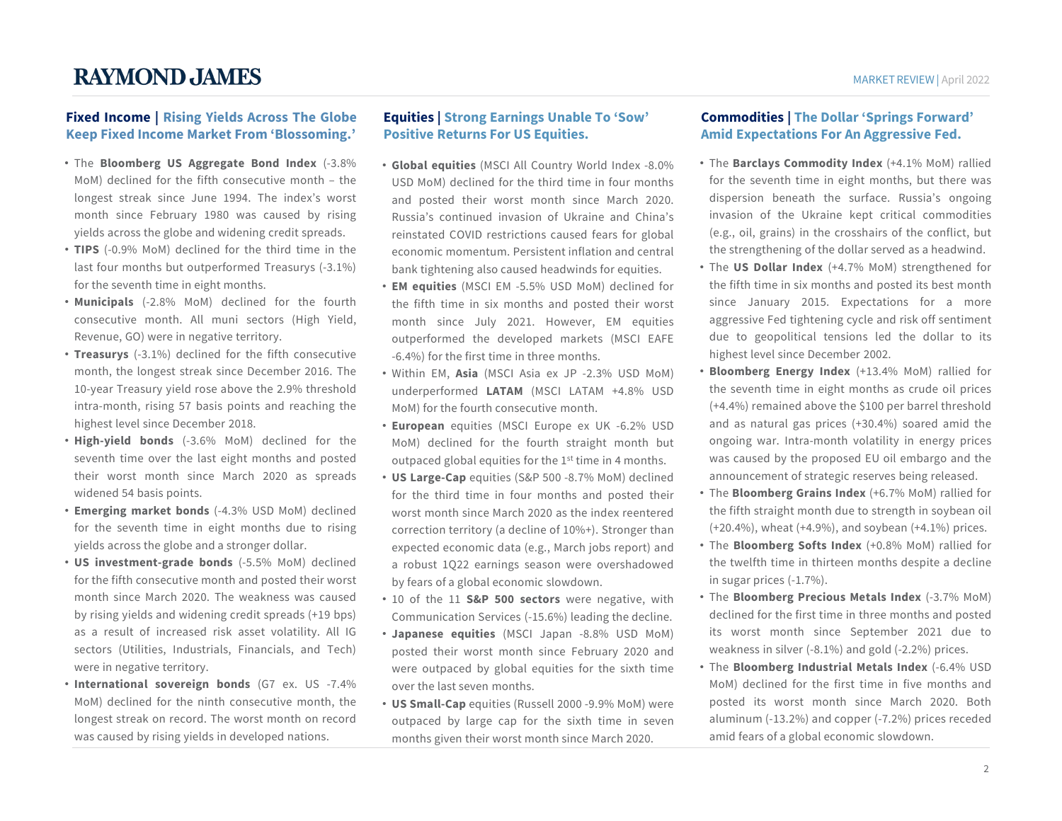#### **Fixed Income | Rising Yields Across The Globe Keep Fixed Income Market From 'Blossoming.'**

- The **Bloomberg US Aggregate Bond Index** (-3.8% MoM) declined for the fifth consecutive month – the longest streak since June 1994. The index's worst month since February 1980 was caused by rising yields across the globe and widening credit spreads.
- **TIPS** (-0.9% MoM) declined for the third time in the last four months but outperformed Treasurys (-3.1%) for the seventh time in eight months.
- **Municipals** (-2.8% MoM) declined for the fourth consecutive month. All muni sectors (High Yield, Revenue, GO) were in negative territory.
- **Treasurys** (-3.1%) declined for the fifth consecutive month, the longest streak since December 2016. The 10-year Treasury yield rose above the 2.9% threshold intra-month, rising 57 basis points and reaching the highest level since December 2018.
- **High-yield bonds** (-3.6% MoM) declined for the seventh time over the last eight months and posted their worst month since March 2020 as spreads widened 54 basis points.
- **Emerging market bonds** (-4.3% USD MoM) declined for the seventh time in eight months due to rising yields across the globe and a stronger dollar.
- **US investment-grade bonds** (-5.5% MoM) declined for the fifth consecutive month and posted their worst month since March 2020. The weakness was caused by rising yields and widening credit spreads (+19 bps) as a result of increased risk asset volatility. All IG sectors (Utilities, Industrials, Financials, and Tech) were in negative territory.
- **International sovereign bonds** (G7 ex. US -7.4% MoM) declined for the ninth consecutive month, the longest streak on record. The worst month on record was caused by rising yields in developed nations.

#### **Equities | Strong Earnings Unable To 'Sow' Positive Returns For US Equities.**

- **Global equities** (MSCI All Country World Index -8.0% USD MoM) declined for the third time in four months and posted their worst month since March 2020. Russia's continued invasion of Ukraine and China's reinstated COVID restrictions caused fears for global economic momentum. Persistent inflation and central bank tightening also caused headwinds for equities.
- **EM equities** (MSCI EM -5.5% USD MoM) declined for the fifth time in six months and posted their worst month since July 2021. However, EM equities outperformed the developed markets (MSCI EAFE -6.4%) for the first time in three months.
- Within EM, **Asia** (MSCI Asia ex JP -2.3% USD MoM) underperformed **LATAM** (MSCI LATAM +4.8% USD MoM) for the fourth consecutive month.
- **European** equities (MSCI Europe ex UK -6.2% USD MoM) declined for the fourth straight month but outpaced global equities for the 1st time in 4 months.
- **US Large-Cap** equities (S&P 500 -8.7% MoM) declined for the third time in four months and posted their worst month since March 2020 as the index reentered correction territory (a decline of 10%+). Stronger than expected economic data (e.g., March jobs report) and a robust 1Q22 earnings season were overshadowed by fears of a global economic slowdown.
- 10 of the 11 **S&P 500 sectors** were negative, with Communication Services (-15.6%) leading the decline.
- **Japanese equities** (MSCI Japan -8.8% USD MoM) posted their worst month since February 2020 and were outpaced by global equities for the sixth time over the last seven months.
- **US Small-Cap** equities (Russell 2000 -9.9% MoM) were outpaced by large cap for the sixth time in seven months given their worst month since March 2020.

#### **Commodities | The Dollar 'Springs Forward' Amid Expectations For An Aggressive Fed.**

- The **Barclays Commodity Index** (+4.1% MoM) rallied for the seventh time in eight months, but there was dispersion beneath the surface. Russia's ongoing invasion of the Ukraine kept critical commodities (e.g., oil, grains) in the crosshairs of the conflict, but the strengthening of the dollar served as a headwind.
- The **US Dollar Index** (+4.7% MoM) strengthened for the fifth time in six months and posted its best month since January 2015. Expectations for a more aggressive Fed tightening cycle and risk off sentiment due to geopolitical tensions led the dollar to its highest level since December 2002.
- **Bloomberg Energy Index** (+13.4% MoM) rallied for the seventh time in eight months as crude oil prices (+4.4%) remained above the \$100 per barrel threshold and as natural gas prices (+30.4%) soared amid the ongoing war. Intra-month volatility in energy prices was caused by the proposed EU oil embargo and the announcement of strategic reserves being released.
- The **Bloomberg Grains Index** (+6.7% MoM) rallied for the fifth straight month due to strength in soybean oil (+20.4%), wheat (+4.9%), and soybean (+4.1%) prices.
- The **Bloomberg Softs Index** (+0.8% MoM) rallied for the twelfth time in thirteen months despite a decline in sugar prices (-1.7%).
- The **Bloomberg Precious Metals Index** (-3.7% MoM) declined for the first time in three months and posted its worst month since September 2021 due to weakness in silver (-8.1%) and gold (-2.2%) prices.
- The **Bloomberg Industrial Metals Index** (-6.4% USD MoM) declined for the first time in five months and posted its worst month since March 2020. Both aluminum (-13.2%) and copper (-7.2%) prices receded amid fears of a global economic slowdown.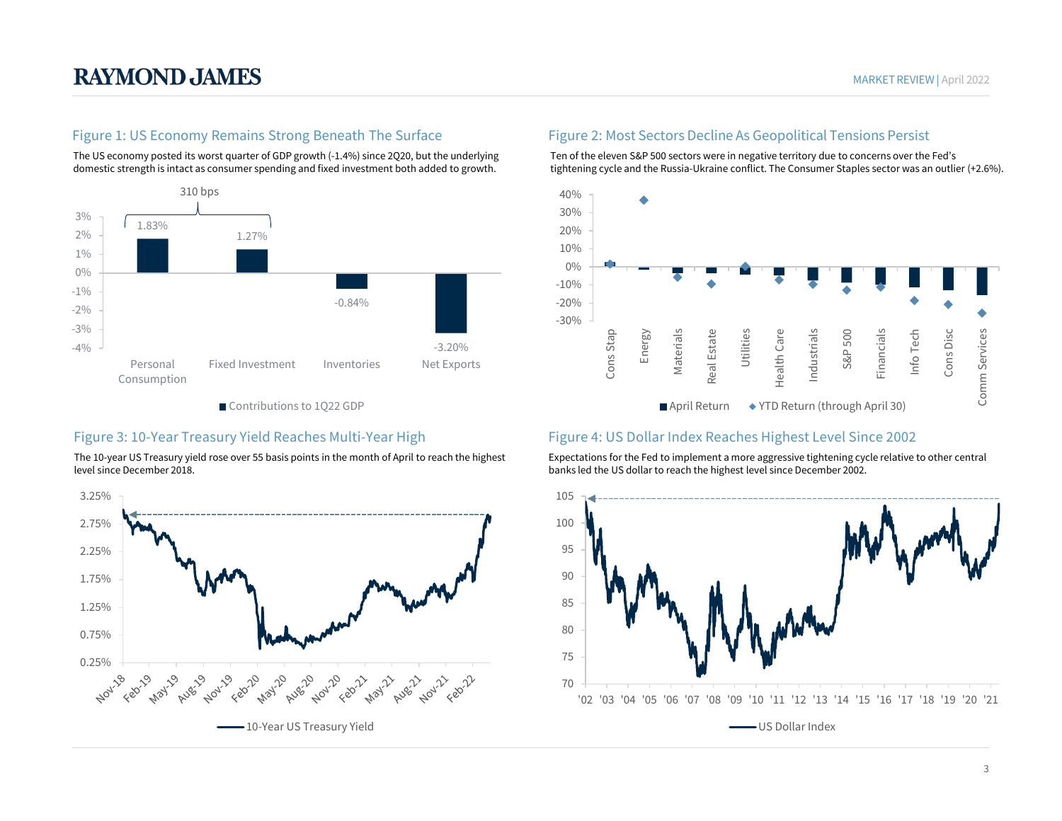#### Figure 1: US Economy Remains Strong Beneath The Surface

The US economy posted its worst quarter of GDP growth (-1.4%) since 2Q20, but the underlying domestic strength is intact as consumer spending and fixed investment both added to growth.



Contributions to 1Q22 GDP

The 10-year US Treasury yield rose over 55 basis points in the month of April to reach the highest level since December 2018.



#### Figure 2: Most Sectors Decline As Geopolitical Tensions Persist

Ten of the eleven S&P 500 sectors were in negative territory due to concerns over the Fed's tightening cycle and the Russia-Ukraine conflict. The Consumer Staples sector was an outlier (+2.6%).



#### Figure 3: 10-Year Treasury Yield Reaches Multi-Year High Figure 4: US Dollar Index Reaches Highest Level Since 2002

Expectations for the Fed to implement a more aggressive tightening cycle relative to other central banks led the US dollar to reach the highest level since December 2002.

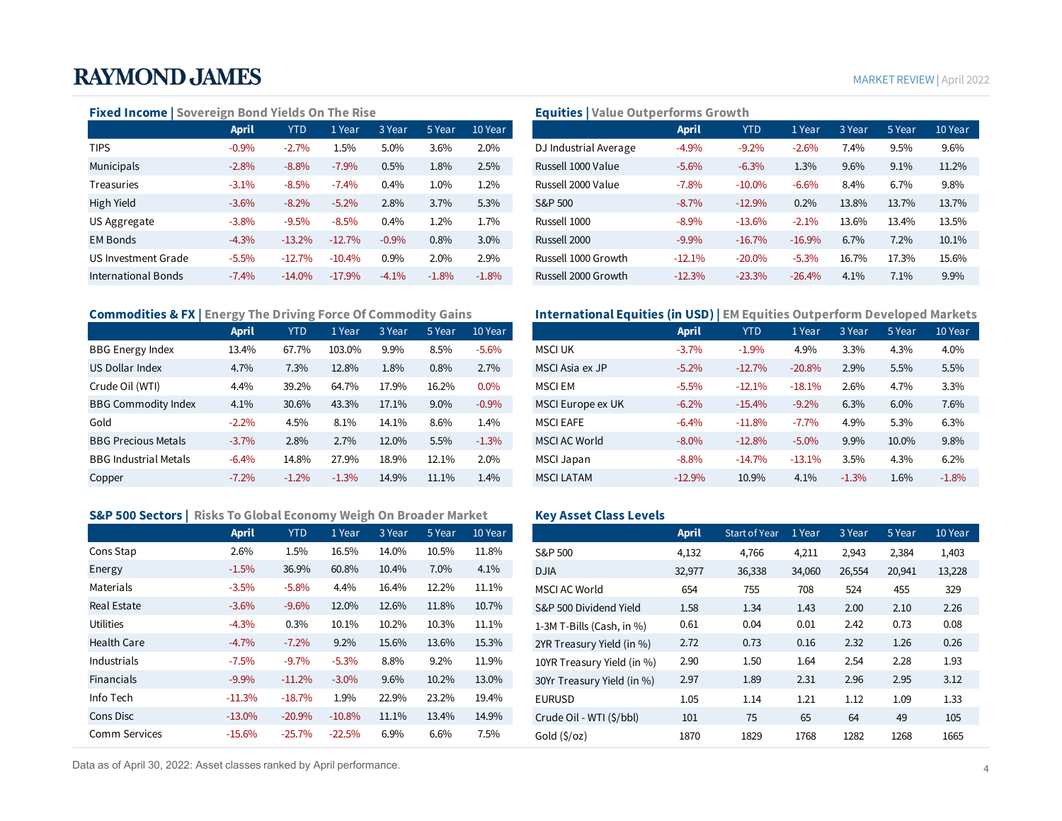#### MARKETREVIEW | April 2022

#### **Fixed Income | Sovereign Bond Yields On The Rise**

|                     | <b>April</b> | <b>YTD</b> | 1 Year   | 3 Year  | 5 Year  | 10 Year |
|---------------------|--------------|------------|----------|---------|---------|---------|
| <b>TIPS</b>         | $-0.9%$      | $-2.7%$    | 1.5%     | 5.0%    | 3.6%    | 2.0%    |
| Municipals          | $-2.8%$      | $-8.8\%$   | $-7.9\%$ | 0.5%    | 1.8%    | 2.5%    |
| <b>Treasuries</b>   | $-3.1\%$     | $-8.5\%$   | $-7.4%$  | 0.4%    | 1.0%    | 1.2%    |
| High Yield          | $-3.6%$      | $-8.2\%$   | $-5.2%$  | 2.8%    | 3.7%    | 5.3%    |
| US Aggregate        | $-3.8%$      | $-9.5%$    | $-8.5\%$ | 0.4%    | 1.2%    | 1.7%    |
| <b>EM Bonds</b>     | $-4.3%$      | $-13.2%$   | $-12.7%$ | $-0.9%$ | $0.8\%$ | $3.0\%$ |
| US Investment Grade | $-5.5%$      | $-12.7%$   | $-10.4%$ | 0.9%    | 2.0%    | 2.9%    |
| International Bonds | $-7.4%$      | $-14.0%$   | $-17.9%$ | $-4.1%$ | $-1.8%$ | $-1.8%$ |
|                     |              |            |          |         |         |         |

#### **Commodities & FX | Energy The Driving Force Of Commodity Gains**

|                              | <b>April</b> | <b>YTD</b> | 1 Year  | 3 Year | 5 Year | 10 Year |
|------------------------------|--------------|------------|---------|--------|--------|---------|
| <b>BBG Energy Index</b>      | 13.4%        | 67.7%      | 103.0%  | 9.9%   | 8.5%   | $-5.6%$ |
| US Dollar Index              | 4.7%         | 7.3%       | 12.8%   | 1.8%   | 0.8%   | 2.7%    |
| Crude Oil (WTI)              | 4.4%         | 39.2%      | 64.7%   | 17.9%  | 16.2%  | 0.0%    |
| <b>BBG Commodity Index</b>   | 4.1%         | 30.6%      | 43.3%   | 17.1%  | 9.0%   | $-0.9%$ |
| Gold                         | $-2.2%$      | $4.5\%$    | 8.1%    | 14.1%  | 8.6%   | 1.4%    |
| <b>BBG Precious Metals</b>   | $-3.7%$      | 2.8%       | 2.7%    | 12.0%  | 5.5%   | $-1.3%$ |
| <b>BBG Industrial Metals</b> | $-6.4%$      | 14.8%      | 27.9%   | 18.9%  | 12.1%  | 2.0%    |
| Copper                       | $-7.2\%$     | $-1.2%$    | $-1.3%$ | 14.9%  | 11.1%  | 1.4%    |

#### **S&P 500 Sectors | Risks To Global Economy Weigh On Broader Market**

|                    | <b>April</b> | <b>YTD</b> | 1 Year   | 3 Year | 5 Year | 10 Year |
|--------------------|--------------|------------|----------|--------|--------|---------|
| Cons Stap          | 2.6%         | 1.5%       | 16.5%    | 14.0%  | 10.5%  | 11.8%   |
| Energy             | $-1.5%$      | 36.9%      | 60.8%    | 10.4%  | 7.0%   | 4.1%    |
| Materials          | $-3.5%$      | $-5.8%$    | 4.4%     | 16.4%  | 12.2%  | 11.1%   |
| Real Estate        | $-3.6%$      | $-9.6%$    | 12.0%    | 12.6%  | 11.8%  | 10.7%   |
| <b>Utilities</b>   | $-4.3%$      | 0.3%       | 10.1%    | 10.2%  | 10.3%  | 11.1%   |
| <b>Health Care</b> | $-4.7%$      | $-7.2\%$   | 9.2%     | 15.6%  | 13.6%  | 15.3%   |
| Industrials        | $-7.5%$      | $-9.7%$    | $-5.3%$  | 8.8%   | 9.2%   | 11.9%   |
| <b>Financials</b>  | $-9.9\%$     | $-11.2%$   | $-3.0\%$ | 9.6%   | 10.2%  | 13.0%   |
| Info Tech          | $-11.3%$     | $-18.7%$   | 1.9%     | 22.9%  | 23.2%  | 19.4%   |
| Cons Disc          | $-13.0\%$    | $-20.9%$   | $-10.8%$ | 11.1%  | 13.4%  | 14.9%   |
| Comm Services      | $-15.6%$     | $-25.7%$   | $-22.5%$ | 6.9%   | 6.6%   | 7.5%    |

#### Data as of April 30, 2022: Asset classes ranked by April performance. 4

#### **Equities | Value Outperforms Growth**

|                     | <b>April</b> | <b>YTD</b> | 1 Year   | 3 Year   | 5 Year  | 10 Year |                       | <b>April</b> | <b>YTD</b> | 1 Year   | 3 Year | 5 Year | 10 Year |
|---------------------|--------------|------------|----------|----------|---------|---------|-----------------------|--------------|------------|----------|--------|--------|---------|
| <b>TIPS</b>         | $-0.9%$      | $-2.7%$    | 1.5%     | 5.0%     | 3.6%    | 2.0%    | DJ Industrial Average | $-4.9%$      | $-9.2%$    | $-2.6\%$ | 7.4%   | 9.5%   | 9.6%    |
| Municipals          | $-2.8%$      | $-8.8%$    | $-7.9%$  | 0.5%     | 1.8%    | 2.5%    | Russell 1000 Value    | $-5.6%$      | $-6.3%$    | $1.3\%$  | 9.6%   | 9.1%   | 11.2%   |
| Treasuries          | $-3.1%$      | $-8.5%$    | $-7.4%$  | 0.4%     | 1.0%    | $1.2\%$ | Russell 2000 Value    | $-7.8%$      | $-10.0\%$  | $-6.6%$  | 8.4%   | 6.7%   | 9.8%    |
| High Yield          | $-3.6%$      | $-8.2%$    | $-5.2%$  | 2.8%     | 3.7%    | 5.3%    | S&P 500               | $-8.7%$      | $-12.9%$   | 0.2%     | 13.8%  | 13.7%  | 13.7%   |
| US Aggregate        | $-3.8%$      | $-9.5%$    | $-8.5%$  | 0.4%     | 1.2%    | 1.7%    | Russell 1000          | $-8.9%$      | $-13.6%$   | $-2.1%$  | 13.6%  | 13.4%  | 13.5%   |
| <b>EM Bonds</b>     | $-4.3%$      | $-13.2%$   | $-12.7%$ | $-0.9%$  | 0.8%    | $3.0\%$ | Russell 2000          | $-9.9%$      | $-16.7%$   | $-16.9%$ | 6.7%   | 7.2%   | 10.1%   |
| US Investment Grade | $-5.5%$      | $-12.7%$   | $-10.4%$ | 0.9%     | 2.0%    | 2.9%    | Russell 1000 Growth   | $-12.1%$     | $-20.0\%$  | $-5.3%$  | 16.7%  | 17.3%  | 15.6%   |
| International Bonds | $-7.4%$      | $-14.0%$   | $-17.9%$ | $-4.1\%$ | $-1.8%$ | $-1.8%$ | Russell 2000 Growth   | $-12.3%$     | $-23.3%$   | $-26.4%$ | 4.1%   | 7.1%   | 9.9%    |

#### **International Equities (in USD) | EM Equities Outperform Developed Markets**

|                              | <b>April</b> | <b>YTD</b> | l Year  | 3 Year | 5 Year  | 10 Year |                   | <b>April</b> | <b>YTD</b> | 1 Year   | 3 Year  | 5 Year | 10 Year |
|------------------------------|--------------|------------|---------|--------|---------|---------|-------------------|--------------|------------|----------|---------|--------|---------|
| <b>BBG Energy Index</b>      | 13.4%        | 67.7%      | 103.0%  | 9.9%   | 8.5%    | $-5.6%$ | <b>MSCI UK</b>    | $-3.7%$      | $-1.9%$    | 4.9%     | 3.3%    | 4.3%   | 4.0%    |
| US Dollar Index              | 4.7%         | 7.3%       | 12.8%   | 1.8%   | 0.8%    | 2.7%    | MSCI Asia ex JP   | $-5.2%$      | $-12.7%$   | $-20.8%$ | 2.9%    | 5.5%   | 5.5%    |
| Crude Oil (WTI)              | 4.4%         | 39.2%      | 64.7%   | 17.9%  | 16.2%   | $0.0\%$ | <b>MSCI EM</b>    | $-5.5%$      | $-12.1%$   | $-18.1%$ | 2.6%    | 4.7%   | 3.3%    |
| <b>BBG Commodity Index</b>   | 4.1%         | 30.6%      | 43.3%   | 17.1%  | $9.0\%$ | $-0.9%$ | MSCI Europe ex UK | $-6.2%$      | $-15.4%$   | $-9.2%$  | 6.3%    | 6.0%   | 7.6%    |
| Gold                         | $-2.2%$      | 4.5%       | 8.1%    | 14.1%  | 8.6%    | $1.4\%$ | <b>MSCI EAFE</b>  | $-6.4%$      | $-11.8%$   | $-7.7%$  | 4.9%    | 5.3%   | 6.3%    |
| <b>BBG Precious Metals</b>   | $-3.7%$      | 2.8%       | 2.7%    | 12.0%  | 5.5%    | $-1.3%$ | MSCI AC World     | $-8.0\%$     | $-12.8%$   | $-5.0\%$ | 9.9%    | 10.0%  | 9.8%    |
| <b>BBG Industrial Metals</b> | $-6.4%$      | 14.8%      | 27.9%   | 18.9%  | 12.1%   | $2.0\%$ | <b>MSCI Japan</b> | $-8.8%$      | $-14.7%$   | $-13.1%$ | 3.5%    | 4.3%   | 6.2%    |
| Copper                       | $-7.2%$      | $-1.2%$    | $-1.3%$ | 14.9%  | 11.1%   | 1.4%    | <b>MSCI LATAM</b> | $-12.9%$     | 10.9%      | 4.1%     | $-1.3%$ | 1.6%   | $-1.8%$ |
|                              |              |            |         |        |         |         |                   |              |            |          |         |        |         |

#### **Key Asset Class Levels**

|                   | <b>April</b> | <b>YTD</b> | 1 Year   | 3 Year | 5 Year | 10 Year |                            | <b>April</b> | <b>Start of Year</b> | 1 Year | 3 Year | 5 Year | 10 Year |
|-------------------|--------------|------------|----------|--------|--------|---------|----------------------------|--------------|----------------------|--------|--------|--------|---------|
| Cons Stap         | 2.6%         | 1.5%       | 16.5%    | 14.0%  | 10.5%  | 11.8%   | S&P 500                    | 4,132        | 4,766                | 4,211  | 2,943  | 2,384  | 1,403   |
| Energy            | $-1.5%$      | 36.9%      | 60.8%    | 10.4%  | 7.0%   | 4.1%    | <b>DJIA</b>                | 32,977       | 36,338               | 34,060 | 26,554 | 20,941 | 13,228  |
| Materials         | $-3.5%$      | $-5.8%$    | 4.4%     | 16.4%  | 12.2%  | 11.1%   | <b>MSCI AC World</b>       | 654          | 755                  | 708    | 524    | 455    | 329     |
| Real Estate       | $-3.6%$      | $-9.6%$    | 12.0%    | 12.6%  | 11.8%  | 10.7%   | S&P 500 Dividend Yield     | 1.58         | 1.34                 | 1.43   | 2.00   | 2.10   | 2.26    |
| Utilities         | $-4.3%$      | 0.3%       | 10.1%    | 10.2%  | 10.3%  | 11.1%   | 1-3M T-Bills (Cash, in %)  | 0.61         | 0.04                 | 0.01   | 2.42   | 0.73   | 0.08    |
| Health Care       | $-4.7%$      | $-7.2\%$   | $9.2\%$  | 15.6%  | 13.6%  | 15.3%   | 2YR Treasury Yield (in %)  | 2.72         | 0.73                 | 0.16   | 2.32   | 1.26   | 0.26    |
| Industrials       | $-7.5\%$     | $-9.7%$    | $-5.3%$  | 8.8%   | 9.2%   | 11.9%   | 10YR Treasury Yield (in %) | 2.90         | 1.50                 | 1.64   | 2.54   | 2.28   | 1.93    |
| <b>Financials</b> | $-9.9%$      | $-11.2%$   | $-3.0\%$ | 9.6%   | 10.2%  | 13.0%   | 30Yr Treasury Yield (in %) | 2.97         | 1.89                 | 2.31   | 2.96   | 2.95   | 3.12    |
| Info Tech         | $-11.3%$     | $-18.7%$   | 1.9%     | 22.9%  | 23.2%  | 19.4%   | <b>EURUSD</b>              | 1.05         | 1.14                 | 1.21   | 1.12   | 1.09   | 1.33    |
| Cons Disc         | $-13.0\%$    | $-20.9%$   | $-10.8%$ | 11.1%  | 13.4%  | 14.9%   | Crude Oil - WTI (\$/bbl)   | 101          | 75                   | 65     | 64     | 49     | 105     |
| Comm Services     | $-15.6%$     | $-25.7%$   | $-22.5%$ | 6.9%   | 6.6%   | 7.5%    | Gold $(S/oz)$              | 1870         | 1829                 | 1768   | 1282   | 1268   | 1665    |
|                   |              |            |          |        |        |         |                            |              |                      |        |        |        |         |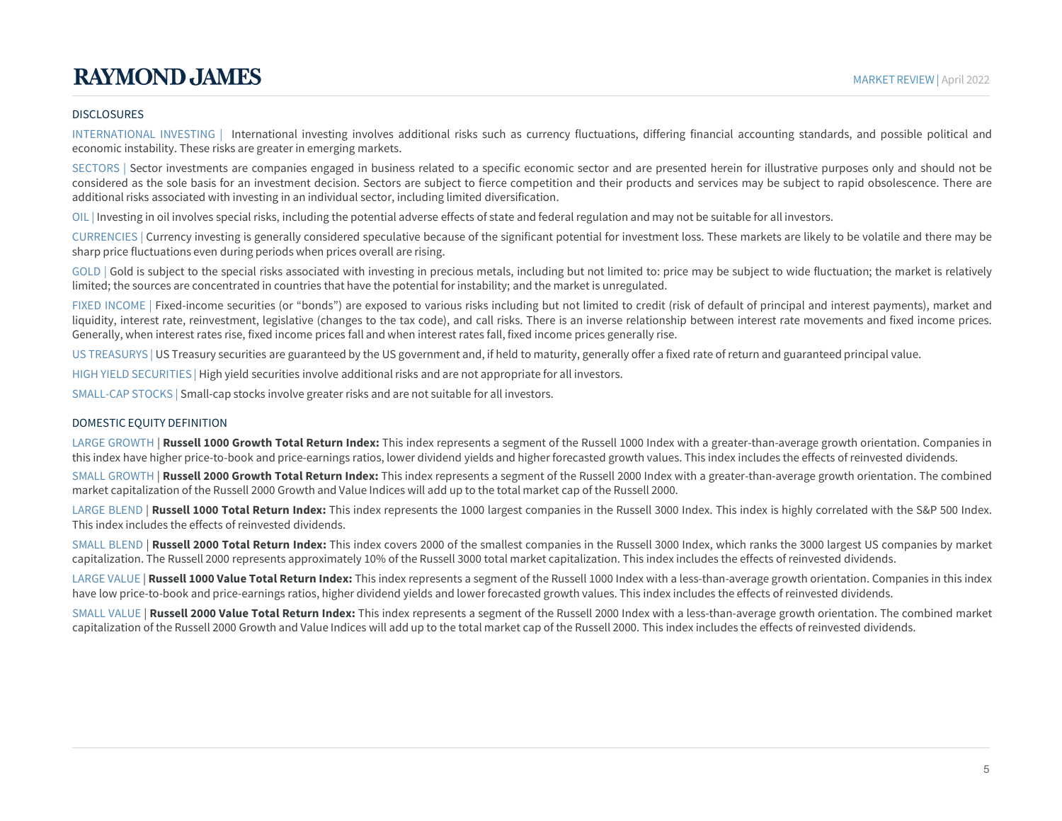#### DISCLOSURES

INTERNATIONAL INVESTING | International investing involves additional risks such as currency fluctuations, differing financial accounting standards, and possible political and economic instability. These risks are greater in emerging markets.

SECTORS | Sector investments are companies engaged in business related to a specific economic sector and are presented herein for illustrative purposes only and should not be considered as the sole basis for an investment decision. Sectors are subject to fierce competition and their products and services may be subject to rapid obsolescence. There are additional risks associated with investing in an individual sector, including limited diversification.

OIL | Investing in oil involves special risks, including the potential adverse effects of state and federal regulation and may not be suitable for all investors.

CURRENCIES | Currency investing is generally considered speculative because of the significant potential for investment loss. These markets are likely to be volatile and there may be sharp price fluctuations even during periods when prices overall are rising.

GOLD | Gold is subject to the special risks associated with investing in precious metals, including but not limited to: price may be subject to wide fluctuation; the market is relatively limited; the sources are concentrated in countries that have the potential for instability; and the market is unregulated.

FIXED INCOME | Fixed-income securities (or "bonds") are exposed to various risks including but not limited to credit (risk of default of principal and interest payments), market and liquidity, interest rate, reinvestment, legislative (changes to the tax code), and call risks. There is an inverse relationship between interest rate movements and fixed income prices. Generally, when interest rates rise, fixed income prices fall and when interest rates fall, fixed income prices generally rise.

US TREASURYS | US Treasury securities are guaranteed by the US government and, if held to maturity, generally offer a fixed rate of return and guaranteed principal value.

HIGH YIELD SECURITIES | High yield securities involve additionalrisks and are not appropriate for all investors.

SMALL-CAP STOCKS | Small-cap stocks involve greater risks and are not suitable for all investors.

#### DOMESTIC EQUITY DEFINITION

LARGE GROWTH | **Russell 1000 Growth Total Return Index:** This index represents a segment of the Russell 1000 Index with a greater-than-average growth orientation. Companies in this index have higher price-to-book and price-earnings ratios, lower dividend yields and higher forecasted growth values. This index includes the effects of reinvested dividends.

SMALL GROWTH | **Russell 2000 Growth Total Return Index:** This index represents a segment of the Russell 2000 Index with a greater-than-average growth orientation. The combined market capitalization of the Russell 2000 Growth and Value Indices will add up to the total market cap of the Russell 2000.

LARGE BLEND | **Russell 1000 Total Return Index:** This index represents the 1000 largest companies in the Russell 3000 Index. This index is highly correlated with the S&P 500 Index. This index includes the effects of reinvested dividends.

SMALL BLEND | **Russell 2000 Total Return Index:** This index covers 2000 of the smallest companies in the Russell 3000 Index, which ranks the 3000 largest US companies by market capitalization. The Russell 2000 represents approximately 10% of the Russell 3000 total market capitalization. This index includes the effects of reinvested dividends.

LARGE VALUE | **Russell 1000 Value Total Return Index:** This index represents a segment of the Russell 1000 Index with a less-than-average growth orientation. Companies in this index have low price-to-book and price-earnings ratios, higher dividend yields and lower forecasted growth values. This index includes the effects of reinvested dividends.

SMALL VALUE | **Russell 2000 Value Total Return Index:** This index represents a segment of the Russell 2000 Index with a less-than-average growth orientation. The combined market capitalization of the Russell 2000 Growth and Value Indices will add up to the total market cap of the Russell 2000. This index includes the effects of reinvested dividends.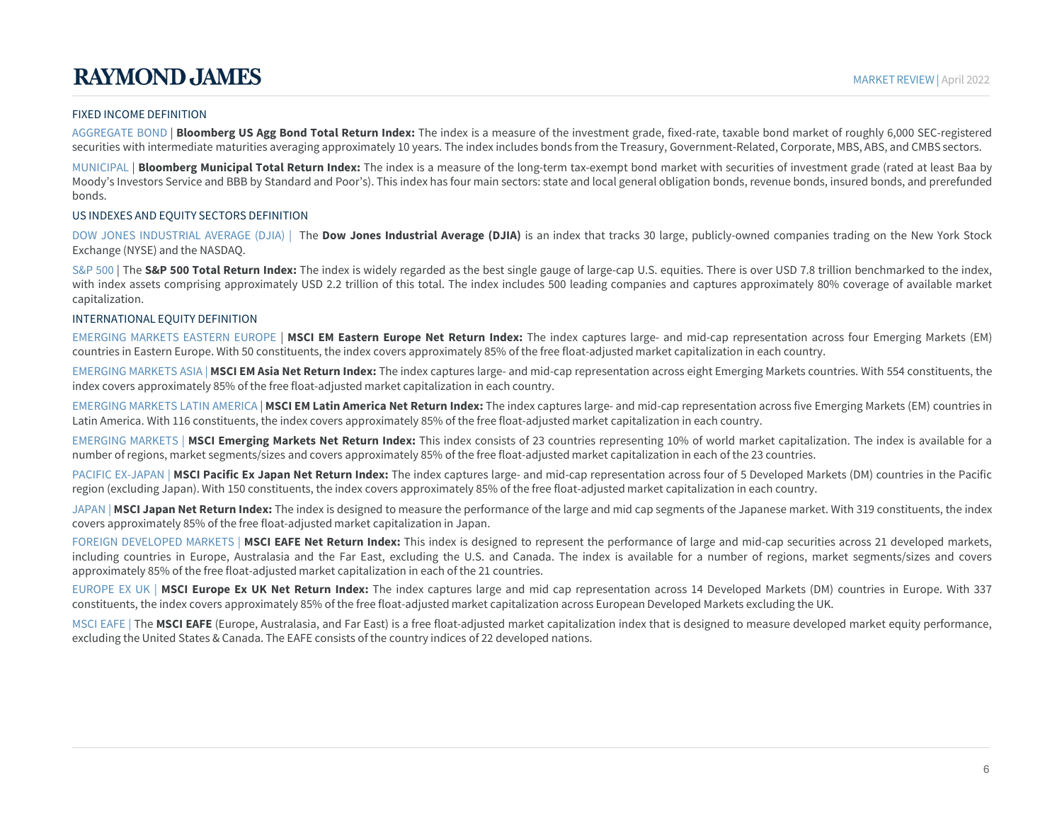#### FIXED INCOME DEFINITION

AGGREGATE BOND | **Bloomberg US Agg Bond Total Return Index:** The index is a measure of the investment grade, fixed-rate, taxable bond market of roughly 6,000 SEC-registered securities with intermediate maturities averaging approximately 10 years. The index includes bonds from the Treasury, Government-Related, Corporate, MBS, ABS, and CMBS sectors.

MUNICIPAL | **Bloomberg Municipal Total Return Index:** The index is a measure of the long-term tax-exempt bond market with securities of investment grade (rated at least Baa by Moody's Investors Service and BBB by Standard and Poor's). This index has four main sectors: state and local general obligation bonds, revenue bonds, insured bonds, and prerefunded bonds.

#### US INDEXES AND EQUITY SECTORS DEFINITION

DOW JONES INDUSTRIAL AVERAGE (DJIA) | The **Dow Jones Industrial Average (DJIA)** is an index that tracks 30 large, publicly-owned companies trading on the New York Stock Exchange (NYSE) and the NASDAQ.

S&P 500 | The S&P 500 Total Return Index: The index is widely regarded as the best single gauge of large-cap U.S. equities. There is over USD 7.8 trillion benchmarked to the index, with index assets comprising approximately USD 2.2 trillion of this total. The index includes 500 leading companies and captures approximately 80% coverage of available market capitalization.

#### INTERNATIONAL EQUITY DEFINITION

EMERGING MARKETS EASTERN EUROPE | **MSCI EM Eastern Europe Net Return Index:** The index captures large- and mid-cap representation across four Emerging Markets (EM) countries in Eastern Europe. With 50 constituents, the index covers approximately 85% of the free float-adjusted market capitalization in each country.

EMERGING MARKETS ASIA | **MSCI EM Asia Net Return Index:** The index captures large- and mid-cap representation across eight Emerging Markets countries. With 554 constituents, the index covers approximately 85% of the free float-adjusted market capitalization in each country.

EMERGING MARKETS LATIN AMERICA | **MSCI EM Latin America Net Return Index:** The index captures large- and mid-cap representation across five Emerging Markets (EM) countries in Latin America. With 116 constituents, the index covers approximately 85% of the free float-adjusted market capitalization in each country.

EMERGING MARKETS | **MSCI Emerging Markets Net Return Index:** This index consists of 23 countries representing 10% of world market capitalization. The index is available for a number of regions, market segments/sizes and covers approximately 85% of the free float-adjusted market capitalization in each of the 23 countries.

PACIFIC EX-JAPAN | MSCI Pacific Ex Japan Net Return Index: The index captures large- and mid-cap representation across four of 5 Developed Markets (DM) countries in the Pacific region (excluding Japan). With 150 constituents, the index covers approximately 85% of the free float-adjusted market capitalization in each country.

JAPAN | **MSCI Japan Net Return Index:** The index is designed to measure the performance of the large and mid cap segments of the Japanese market. With 319 constituents, the index covers approximately 85% of the free float-adjusted market capitalization in Japan.

FOREIGN DEVELOPED MARKETS | MSCI EAFE Net Return Index: This index is designed to represent the performance of large and mid-cap securities across 21 developed markets, including countries in Europe, Australasia and the Far East, excluding the U.S. and Canada. The index is available for a number of regions, market segments/sizes and covers approximately 85% of the free float-adjusted market capitalization in each of the 21 countries.

EUROPE EX UK | **MSCI Europe Ex UK Net Return Index:** The index captures large and mid cap representation across 14 Developed Markets (DM) countries in Europe. With 337 constituents, the index covers approximately 85% of the free float-adjusted market capitalization across European Developed Markets excluding the UK.

MSCI EAFE | The MSCI EAFE (Europe, Australasia, and Far East) is a free float-adjusted market capitalization index that is designed to measure developed market equity performance, excluding the United States & Canada. The EAFE consists of the country indices of 22 developed nations.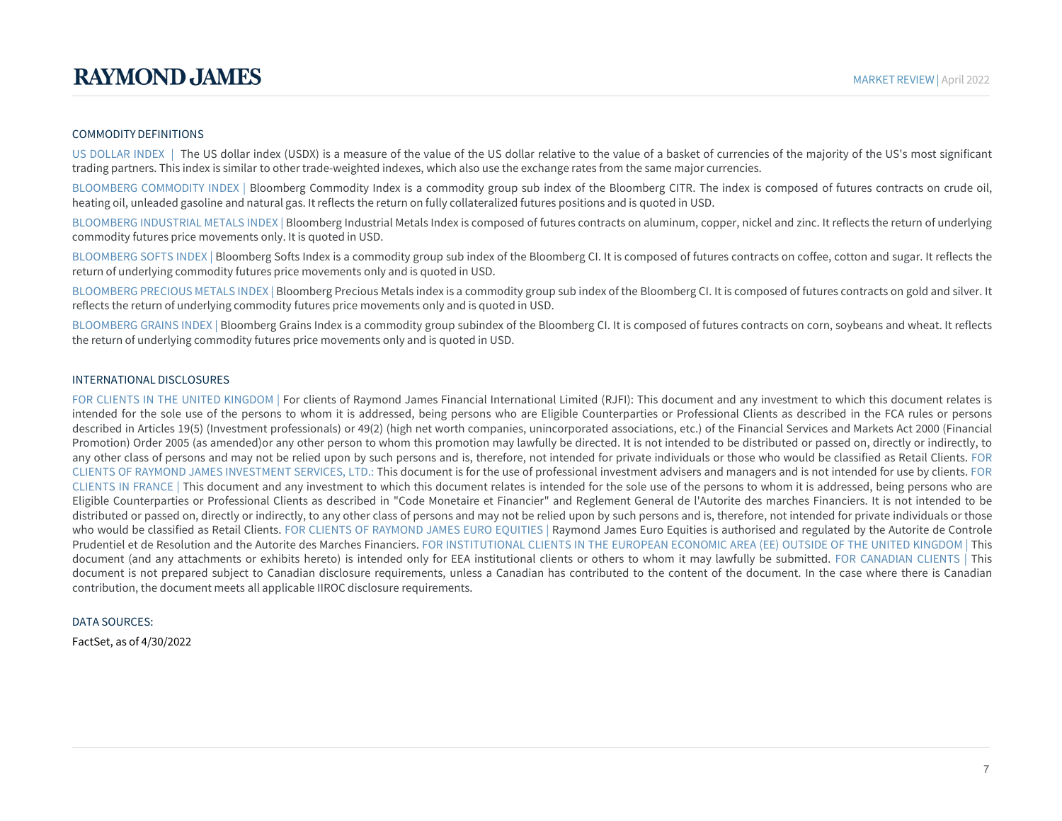#### COMMODITY DEFINITIONS

US DOLLAR INDEX | The US dollar index (USDX) is a measure of the value of the US dollar relative to the value of a basket of currencies of the majority of the US's most significant trading partners. This index is similar to other trade-weighted indexes, which also use the exchange rates from the same major currencies.

BLOOMBERG COMMODITY INDEX | Bloomberg Commodity Index is a commodity group sub index of the Bloomberg CITR. The index is composed of futures contracts on crude oil, heating oil, unleaded gasoline and natural gas. It reflects the return on fully collateralized futures positions and is quoted in USD.

BLOOMBERG INDUSTRIAL METALS INDEX | Bloomberg Industrial Metals Index is composed of futures contracts on aluminum, copper, nickel and zinc. It reflects the return of underlying commodity futures price movements only. It is quoted in USD.

BLOOMBERG SOFTS INDEX | Bloomberg Softs Index is a commodity group sub index of the Bloomberg CI. It is composed of futures contracts on coffee, cotton and sugar. It reflects the return of underlying commodity futures price movements only and is quoted in USD.

BLOOMBERG PRECIOUS METALS INDEX | Bloomberg Precious Metals index is a commodity group sub index of the Bloomberg CI. It is composed of futures contracts on gold and silver. It reflects the return of underlying commodity futures price movements only and is quoted in USD.

BLOOMBERG GRAINS INDEX | Bloomberg Grains Index is a commodity group subindex of the Bloomberg CI. It is composed of futures contracts on corn, soybeans and wheat. It reflects the return of underlying commodity futures price movements only and is quoted in USD.

#### INTERNATIONAL DISCLOSURES

FOR CLIENTS IN THE UNITED KINGDOM | For clients of Raymond James Financial International Limited (RJFI): This document and any investment to which this document relates is intended for the sole use of the persons to whom it is addressed, being persons who are Eligible Counterparties or Professional Clients as described in the FCA rules or persons described in Articles 19(5) (Investment professionals) or 49(2) (high net worth companies, unincorporated associations, etc.) of the Financial Services and Markets Act 2000 (Financial Promotion) Order 2005 (as amended)or any other person to whom this promotion may lawfully be directed. It is not intended to be distributed or passed on, directly or indirectly, to any other class of persons and may not be relied upon by such persons and is, therefore, not intended for private individuals or those who would be classified as Retail Clients. FOR CLIENTS OF RAYMOND JAMES INVESTMENT SERVICES, LTD.: This document is for the use of professional investment advisers and managers and is not intended for use by clients. FOR CLIENTS IN FRANCE | This document and any investment to which this document relates is intended for the sole use of the persons to whom it is addressed, being persons who are Eligible Counterparties or Professional Clients as described in "Code Monetaire et Financier" and Reglement General de l'Autorite des marches Financiers. It is not intended to be distributed or passed on, directly or indirectly, to any other class of persons and may not be relied upon by such persons and is, therefore, not intended for private individuals or those who would be classified as Retail Clients. FOR CLIENTS OF RAYMOND JAMES EURO EQUITIES | Raymond James Euro Equities is authorised and regulated by the Autorite de Controle Prudentiel et de Resolution and the Autorite des Marches Financiers. FOR INSTITUTIONAL CLIENTS IN THE EUROPEAN ECONOMIC AREA (EE) OUTSIDE OF THE UNITED KINGDOM | This document (and any attachments or exhibits hereto) is intended only for EEA institutional clients or others to whom it may lawfully be submitted. FOR CANADIAN CLIENTS | This document is not prepared subject to Canadian disclosure requirements, unless a Canadian has contributed to the content of the document. In the case where there is Canadian contribution, the document meets all applicable IIROC disclosure requirements.

#### DATA SOURCES:

FactSet, as of 4/30/2022